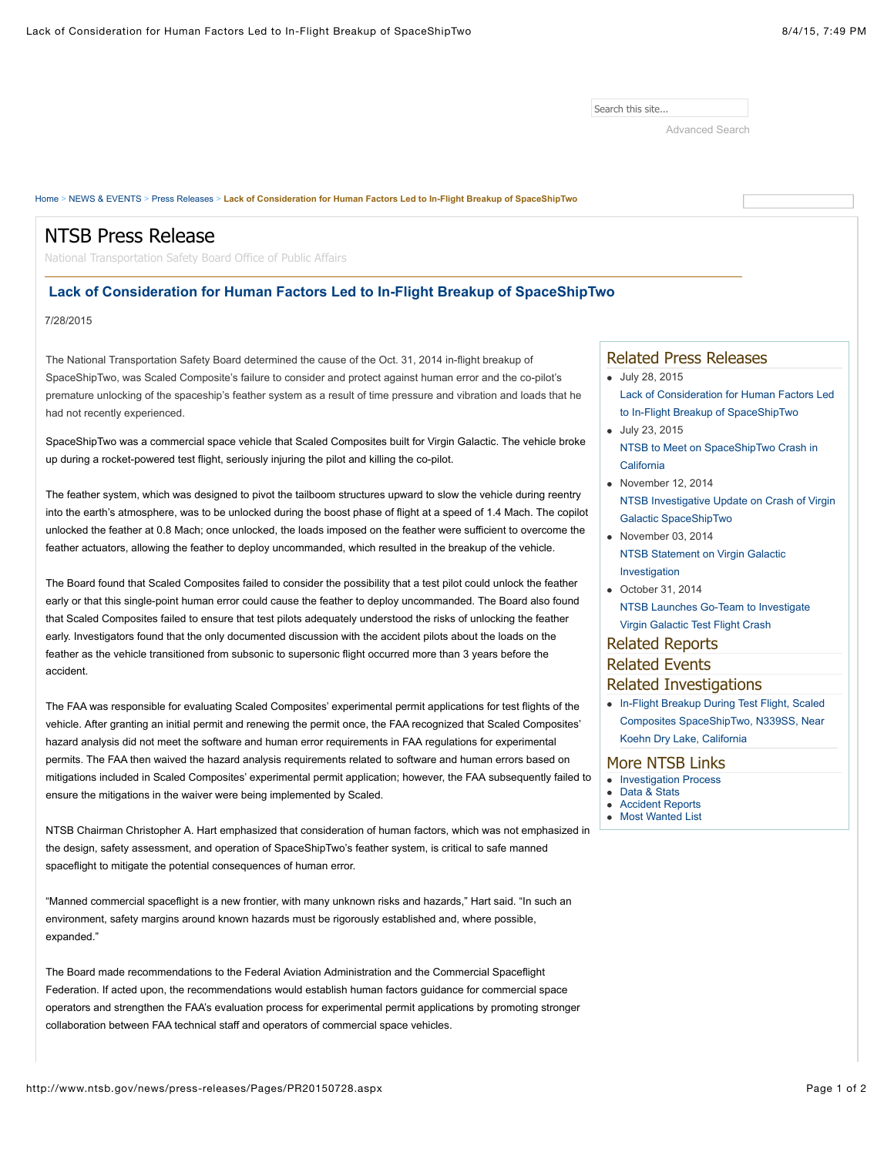Search this site...

[Advanced Search](http://www.ntsb.gov/Search/pages/advanced.aspx)

### [Home](http://www.ntsb.gov/Pages/default.aspx) > [NEWS & EVENTS](http://www.ntsb.gov/news/Pages/default.aspx) > [Press Releases](http://www.ntsb.gov/news/press-releases/Pages/default.aspx) > **Lack of Consideration for Human Factors Led to In-Flight Breakup of SpaceShipTwo** July 28, 2015 [Lack of Consideration for Human Factors Led](http://www.ntsb.gov/news/press-releases/Pages/PR20150728.aspx) to In-Flight Breakup of SpaceShipTwo July 23, 2015 [NTSB to Meet on SpaceShipTwo Crash in](http://www.ntsb.gov/news/press-releases/Pages/PR_20150723.aspx) California  $\bullet$  November 12, 2014 [NTSB Investigative Update on Crash of Virgin](http://www.ntsb.gov/news/press-releases/Pages/PR20141112.aspx) Galactic SpaceShipTwo  $\bullet$  November 03, 2014 [NTSB Statement on Virgin Galactic](http://www.ntsb.gov/news/press-releases/Pages/PR20141103b.aspx) Investigation October 31, 2014 [NTSB Launches Go-Team to Investigate](http://www.ntsb.gov/news/press-releases/Pages/PR20141031.aspx) Virgin Galactic Test Flight Crash • In-Flight Breakup During Test Flight, Scaled [Composites SpaceShipTwo, N339SS, Near](http://www.ntsb.gov/investigations/Pages/2014_Virgin_Galactic.aspx) Koehn Dry Lake, California Related Press Releases Related Reports Related Events Related Investigations More NTSB Links • [Investigation Process](http://www.ntsb.gov/investigations/process/Pages/default.aspx) **Data & State** [Accident Reports](http://www.ntsb.gov/investigations/AccidentReports/Pages/AccidentReports.aspx) • [Most Wanted List](http://www.ntsb.gov/safety/mwl/Pages/default.aspx) The National Transportation Safety Board determined the cause of the Oct. 31, 2014 in-flight breakup of SpaceShipTwo, was Scaled Composite's failure to consider and protect against human error and the co-pilot's premature unlocking of the spaceship's feather system as a result of time pressure and vibration and loads that he had not recently experienced. SpaceShipTwo was a commercial space vehicle that Scaled Composites built for Virgin Galactic. The vehicle broke up during a rocket-powered test flight, seriously injuring the pilot and killing the co-pilot. The feather system, which was designed to pivot the tailboom structures upward to slow the vehicle during reentry into the earth's atmosphere, was to be unlocked during the boost phase of flight at a speed of 1.4 Mach. The copilot unlocked the feather at 0.8 Mach; once unlocked, the loads imposed on the feather were sufficient to overcome the feather actuators, allowing the feather to deploy uncommanded, which resulted in the breakup of the vehicle. The Board found that Scaled Composites failed to consider the possibility that a test pilot could unlock the feather early or that this single-point human error could cause the feather to deploy uncommanded. The Board also found that Scaled Composites failed to ensure that test pilots adequately understood the risks of unlocking the feather early. Investigators found that the only documented discussion with the accident pilots about the loads on the feather as the vehicle transitioned from subsonic to supersonic flight occurred more than 3 years before the accident. The FAA was responsible for evaluating Scaled Composites' experimental permit applications for test flights of the vehicle. After granting an initial permit and renewing the permit once, the FAA recognized that Scaled Composites' hazard analysis did not meet the software and human error requirements in FAA regulations for experimental permits. The FAA then waived the hazard analysis requirements related to software and human errors based on mitigations included in Scaled Composites' experimental permit application; however, the FAA subsequently failed to ensure the mitigations in the waiver were being implemented by Scaled. NTSB Chairman Christopher A. Hart emphasized that consideration of human factors, which was not emphasized in the design, safety assessment, and operation of SpaceShipTwo's feather system, is critical to safe manned spaceflight to mitigate the potential consequences of human error. "Manned commercial spaceflight is a new frontier, with many unknown risks and hazards," Hart said. "In such an environment, safety margins around known hazards must be rigorously established and, where possible, expanded." The Board made recommendations to the Federal Aviation Administration and the Commercial Spaceflight Federation. If acted upon, the recommendations would establish human factors guidance for commercial space operators and strengthen the FAA's evaluation process for experimental permit applications by promoting stronger collaboration between FAA technical staff and operators of commercial space vehicles. NTSB Press Release National Transportation Safety Board Office of Public Affairs  **Lack of Consideration for Human Factors Led to In-Flight Breakup of SpaceShipTwo** 7/28/2015